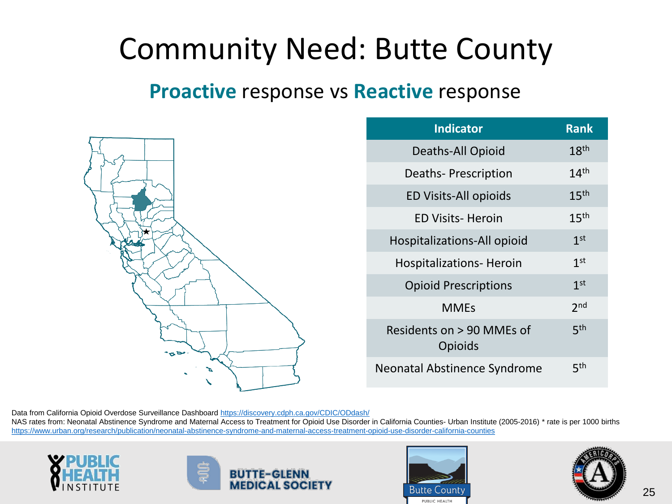#### Community Need: Butte County

#### **Proactive** response vs **Reactive** response



| <b>Indicator</b>                     | <b>Rank</b>      |
|--------------------------------------|------------------|
| Deaths-All Opioid                    | 18 <sup>th</sup> |
| Deaths-Prescription                  | 14 <sup>th</sup> |
| <b>ED Visits-All opioids</b>         | 15 <sup>th</sup> |
| <b>ED Visits- Heroin</b>             | 15 <sup>th</sup> |
| Hospitalizations-All opioid          | 1 <sup>st</sup>  |
| <b>Hospitalizations- Heroin</b>      | 1 <sup>st</sup>  |
| <b>Opioid Prescriptions</b>          | 1 <sup>st</sup>  |
| <b>MMEs</b>                          | 2 <sub>nd</sub>  |
| Residents on > 90 MMEs of<br>Opioids | 5 <sup>th</sup>  |
| Neonatal Abstinence Syndrome         | 5th              |

Data from California Opioid Overdose Surveillance Dashboard<https://discovery.cdph.ca.gov/CDIC/ODdash/>

NAS rates from: Neonatal Abstinence Syndrome and Maternal Access to Treatment for Opioid Use Disorder in California Counties- Urban Institute (2005-2016) \* rate is per 1000 births <https://www.urban.org/research/publication/neonatal-abstinence-syndrome-and-maternal-access-treatment-opioid-use-disorder-california-counties>









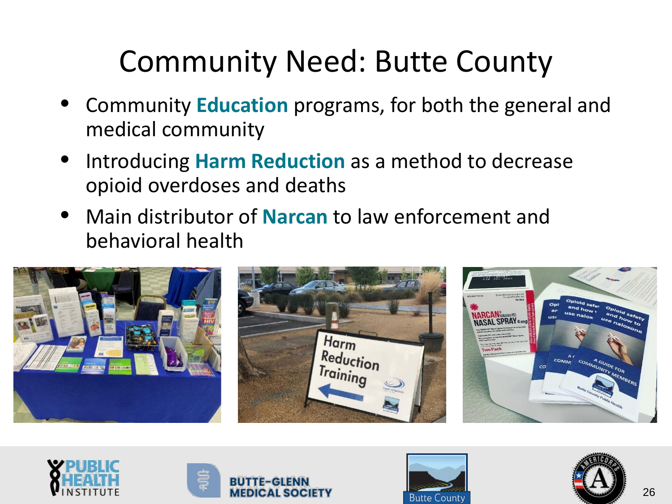# Community Need: Butte County

- Community **Education** programs, for both the general and medical community
- Introducing **Harm Reduction** as a method to decrease opioid overdoses and deaths
- Main distributor of **Narcan** to law enforcement and behavioral health









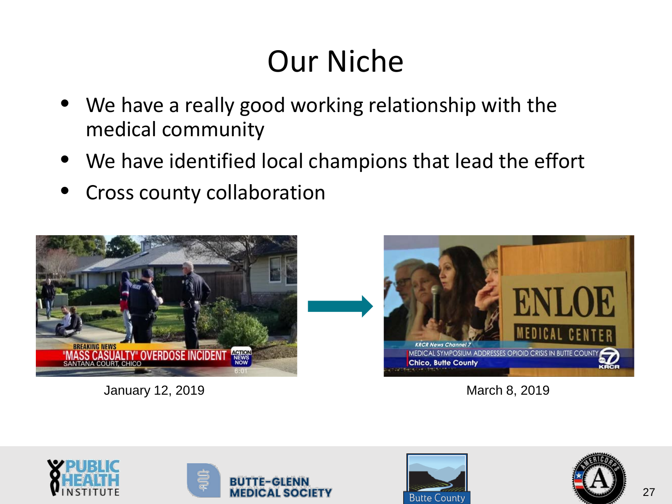## Our Niche

- We have a really good working relationship with the medical community
- We have identified local champions that lead the effort
- Cross county collaboration



January 12, 2019 March 8, 2019









![](_page_2_Picture_11.jpeg)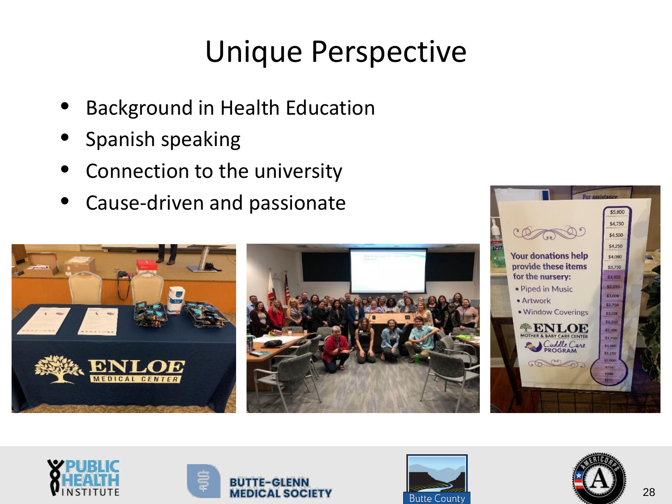#### Unique Perspective

- Background in Health Education
- Spanish speaking
- Connection to the university
- Cause-driven and passionate

![](_page_3_Picture_5.jpeg)

![](_page_3_Picture_6.jpeg)

![](_page_3_Picture_7.jpeg)

![](_page_3_Picture_8.jpeg)

![](_page_3_Picture_9.jpeg)

\$5,000